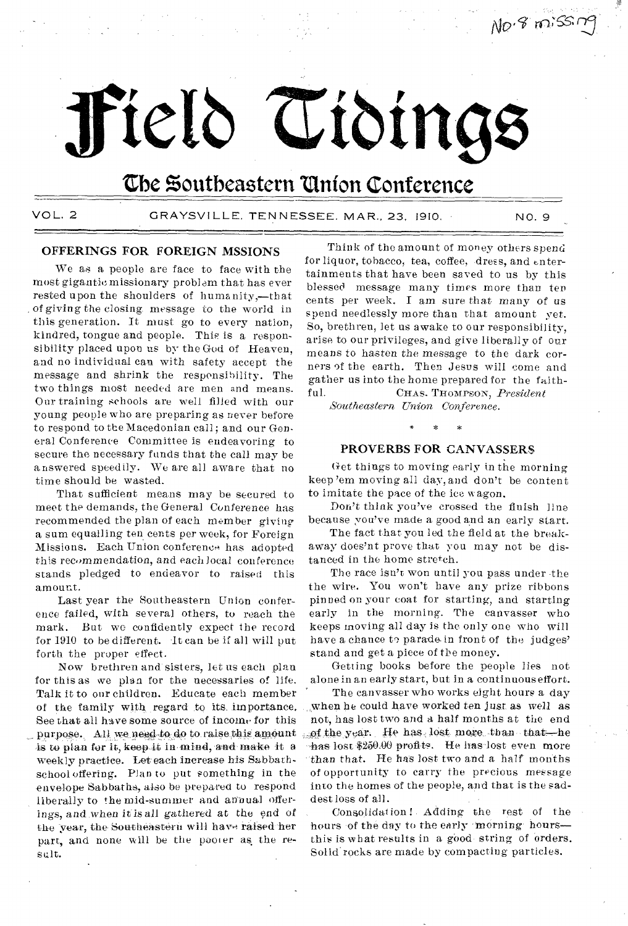# **Pelt) Zabinge**

## the **Zoutbeastern Vinton Conference**

VOL. 2 GRAYSVILLE, TENNESSEE, MAR., 23, 1910. NO. 9

No. 8 missing

#### OFFERINGS FOR FOREIGN MSSIONS

We as a people are face to face with the most gigantic missionary problem that has ever rested upon the shoulders of humanity,—that of *giving* the closing message to the world in this generation. It must go to every nation, kindred, tongue and people. This is a responsibility placed upon us by the God of Heaven, and no individual can with safety accept the message and shrink the responsibility. The two things most needed are men and means. Our training schools are well filled with our young people who are preparing as never before to respond to the Macedonian call; and our General Conference Committee is endeavoring to secure the necessary funds that the call may be answered speedily. We are all aware that no time should be wasted.

That sufficient means may be secured to meet the demands, the General Conference has recommended the plan of each member giving a sum equalling ten cents per week, for Foreign Missions. Each Union conference has adopted this recommendation, and each local conference stands pledged to endeavor to raised this amount.

Last year the Southeastern Union conference failed, with several others, to reach the mark. But we confidently expect the record for 1910 to be different. It can be if all will put forth the proper effect.

Now brethren and sisters, let us each plan for this as we plan for the necessaries of life. Talk it to our children. Educate each member of the family with regard to its importance. See that all have some source of income for this purpose. All we need to do to raise this amount is to plan for it, keep it in mind, and make it a weekly practice. Let each increase his Sabbathschool offering. Plan to put something in the envelope Sabbaths, also be prepared to respond liberally to the mid-summer and annual offerings, and.when it is all *gathered* at the end of the year, the Southeastern will have raised her part, and none will be the pooter as the result.

Think of the amount of money others spend for liquor, tobacco, tea, coffee, dress, and entertainments that have been saved to us by this blessed message many times more than ten cents per week. I am sure that many of us spend needlessly more than that amount yet. So, brethren, let us awake to our responsibility, arise to our privileges, and give liberally of our means to hasten the message to the dark corners of the earth. Then Jesus will come and gather us into the home prepared for the faithful. CHAS. THOMPSON, *President* 

*Southeastern Union Conference.* 

#### PROVERBS FOR CANVASSERS

Get things to moving early in the morning keep 'em moving all day, and don't be content to imitate the pace of the ice wagon.

Don't think you've crossed the finish line because you've made a good and an early start.

The fact that you led the field at the breakaway does'nt prove that you may not be distanced in the home stretch.

The race isn't won until you pass under -the the wire. You won't have any prize ribbons pinned on your coat for starting, and starting early in the morning. The canvasser who keeps moving all day is the only one who will have a chance to parade in front of the judges' stand and get a piece of the money.

Getting books before the people lies not alone in an early start, but in a continuous effort.

The canvasser who works eight hours a day when he could have worked ten just as well as not, has lost two and a half months at the end f-the year. He has lost more than that—he has lost \$250.00 profits. He has lost even more than that. He has lost two and a half months of opportunity to carry the precious message into the homes of the people, and that is the saddest loss of all.

Consolidation ! Adding the rest of the hours of the day to the early morning-hoursthis is what results in a good- string of orders. Solid rocks are made by compacting particles.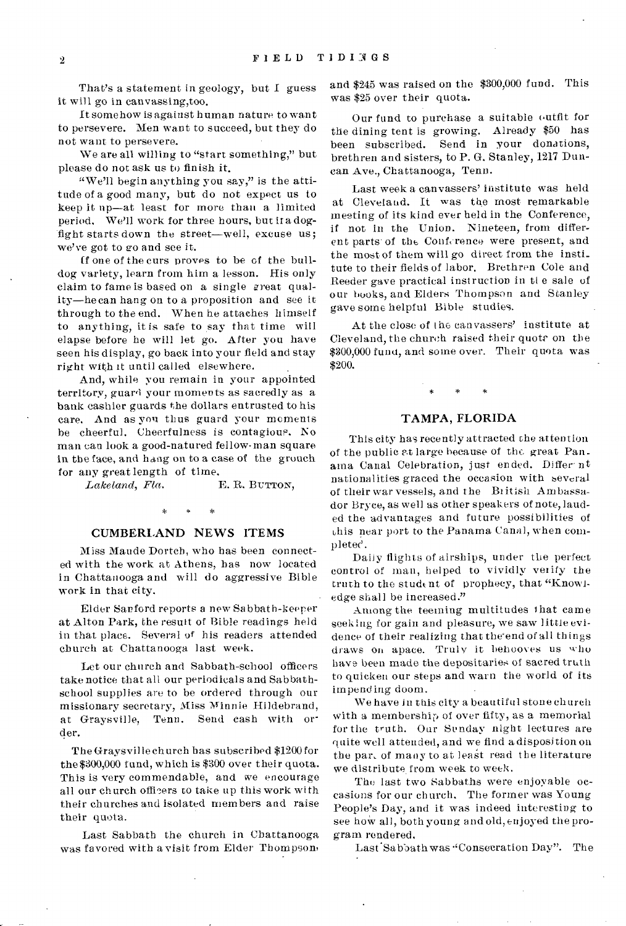That's a statement in geology, but I guess it will go in canvassing,too.

It somehow is against human nature to want to persevere. Men want to succeed, but they do not want to persevere.

We are all willing to "start something," but please do not ask us to finish it.

"We'll begin anything you say," is the attitude of a good many, but do not expect us to keep it up—at least for more than a limited period. We'll work for three hours, but it a dogfight starts down the street—well, excuse us; we've got to go and see it.

ff one of the curs proves to be of the bulldog variety, learn from him a lesson. His only claim to fame is based on a single great quality—he can hang on to a proposition and see it through to the end. When he attaches himself to anything, it is safe to say that time will elapse before he will let go. After you have seen his display, go back into your field and stay right with it until called elsewhere.

And, while you remain in your appointed territory, guard your moments as sacredly as a bank cashier guards the dollars entrusted to his care. And as yon thus guard your moments be cheerful. Cheerfulness is contagious. No man can look a good-natured fellow-man square in the face, and hang on to a case of the grouch for any great length of time.<br>Lakeland, Fla.

*Lakeland, Fla.* E. R. BUTTON,

 $\star$ 

#### CUMBERLAND NEWS ITEMS

Miss Maude Dortch, who has been connected with the work at Athens, has now located in Chattanooga and will do aggressive Bible work in that city.

Elder Sanford reports a new Sabbath-keeper at Alton Park, the result of Bible readings held in that place. Several of his readers attended church at Chattanooga last week.

Let our church and Sabbath-school officers take notice that all our periodicals and Sabbathschool supplies are to be ordered through our missionary secretary, Miss Minnie Hildebrand, at Graysville, Tenn. Send cash with order.

The Graysvil le church has subscribed \$1200 for the \$300,000 fund, which is \$300 over their quota. This is very commendable, and we encourage all our church officers to take up this work with their churches and isolated members and raise their quota.

Last Sabbath the church in Chattanooga was favored with a visit from Elder Thompson,

and \$245 was raised on the \$300,000 fund. This was \$25 over their quota.

Our fund to purchase a suitable outfit for the dining tent is growing. Already \$50 has been subscribed. Send in your donations, brethren and sisters, to P. G. Stanley, 1217 Duncan Ave., Chattanooga, Tenn.

Last week a canvassers' institute was held at Cleveland. It was the most remarkable meeting of its kind ever held in the Conference, if not in the Union. Nineteen, from different parts of the Conference were present, and the most of them will go direct from the insti\_ tate to their fields of labor. Brethren Cole and Reeder gave practical instruction in tl e sale of our books, and Elders Thompson and Stanley gave some helpful Bible studies.

At the close of the canvassers' institute at Cleveland, the church raised their quote on the \$300,000 fund, and some over. Their quota was \$200.

#### TAMPA, FLORIDA

This city has recently attracted the attention of the public at large because of the great Panama Canal Celebration, just ended. Differ nt nationalities graced the occasion with several of their war vessels, and the British Ambassador Bryce, as well as other speakers of note, lauded the advantages and future possibilities of this near port to the Panama Canal, when completec'.

Daily flights of airships, under the perfect control of man, helped to vividly verify the truth to the student of prophecy, that "Knowledge shall be increased."

Among the teeming multitudes that came seeking for gain and pleasure, we saw little evidence of their realizing that the end of all things draws on apace. Truly it behooves us who have been made the depositaries of sacred truth to quicken our steps and warn the world of its impending doom.

We have in this city a beautiful stone church with a membership of over fifty, as a memorial for the truth. Our Senday night lectures are quite well attended, and we find a disposition on the par, of many to at least read the literature we distribute from week to week.

The last two Sabbaths were enjoyable occasions for our church. The former was Young People's Day, and it was indeed interesting to see how all, both young and old, enjoyed the program rendered.

Last 'Sabbath was "Consecration Day". The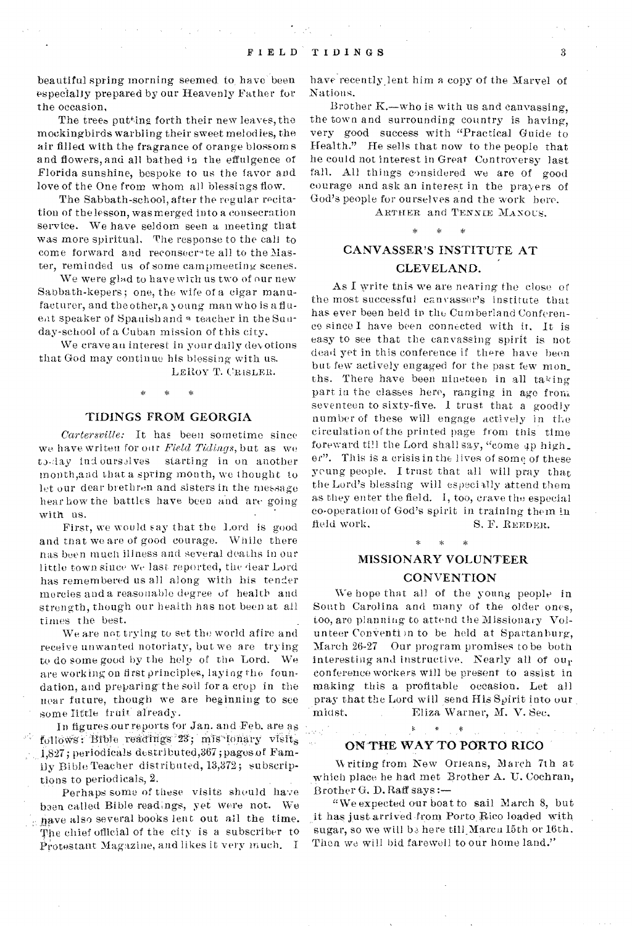beautiful spring morning seemed to, have' been especially prepared by our Heavenly Father for the occasion,

The trees putting forth their new leaves, the mockingbirds warbling their sweet melodies, the air filled with the fragrance of orange blossoms and flowers, and all bathed in the effulgence of Florida sunshine, bespoke to us the favor and love of the One from whom all blessings flow.

The Sabbath-school, after the regular recitation of the lesson, was merged into a consecration service. We have seldom seen a meeting that was more spiritual. The response to the call to come forward and reconsecrate all to the Master, reminded us of some campmeecing scenes.

We were glad to have with us two of our new Sabbath-kepers; one, the wife of a cigar manufacturer, and the other, a young man who is a fluent speaker of Spanish and a teacher in the Sunday-school of a Cuban mission of this city.

We crave an interest in your daily devotions that God may continue his blessing with us.

LEROY T. CRISLER.

#### TIDINGS FROM GEORGIA

*Cartersville:* It has been sometime since we have writen for our *Field Tidings,* but as we to-day ind ourselves starting in on another mouth,and that a spring month, we thought to let our dear brethren and sisters in the message hear how the battles have been and are *going*  with us.

First, we would say that the Lord is good and that we are of good courage. While there nas been much illness and several deaths in our little town since we last reported, the dear Lord has remembered us all along with his tender mercies and a reasonable degree of health and strength, though our health has not been at all times the best.

*We* are not trying to set the world afire and receive unwanted notoriaty, but we are trying to do some good by the help of the Lord. We are working on first principles, laying the foundation, and preparing' the soil for a crop in the near future, though we are beginhing to see some Tittle fruit already.

In figures.ourreports for Jan. and Feb. are as follows: Bible readings 23; mis lonary visits 1,827; periodicals destributed, 367; pages of Family Bible Teacher distributed, 13,372; subscriptions to periodicals, 2.

Perhaps some of these visits should have baen called Bible readings, yet were not. We have also several books lent out all the time. The chief official of the city is a subscriber to  $\hat{P}_{\text{rotestant}}$  Magazine, and likes it very much. I

have recently lent him a copy of the Marvel of Nations.

Brother K.—who is with us and canvassing, the town and surrounding country is having, very good success with "Practical Guide to Health." He sells that now to the people that he could not interest in Great Controversy last fall. All things considered we are of good courage and ask an interest in the prayers of God's people for ourselves and the work here.

ARTHER and TENNIE MANOUS.<br>\* \* \*

## CANVASSER'S INSTITUTE AT CLEVELAND.

As I write tnis we are nearing the close of the most successful canvasser's institute that has ever been held in the Cumberland Conference since I have been connected with it. It is easy to see that the canvassing spirit is not dead yet in this conference if there have been but few actively engaged for the past few mon\_ ths. There have been nineteen in all taking part in the classes here, ranging in ago front seventeen to sixty-five. I trust that a goodly number of these will engage actively in the circulation of the printed page from this time foreward till the Lord shall say, "come up high\_ er". This is a crisis in the lives of some of these young people. I trust that all will pray that the Lord's blessing will especially attend them as they enter the field. I, too, crave the especial co-operation of God's spirit in training them in field work. S. F. REEDER. \* \* \*

## MISSIONARY VOLUNTEER **CONVENTION**

We hope that all of the young people in South Carolina and many of the older ones, too, are planning to attend the Missionary Volunteer Convention to be held at Spartanburg, March 26-27 Our program promises to be both interesting and instructive. Nearly all of our conference workers will be present to assist in making this a profitable occasion. Let all pray that the Lord will send His Spirit into our midst. Eliza Warner, M. V. Sec,

### ON THE WAY TO PORTO RICO

فيعد

 $\ast$ 

W riting from New Orleans, March 7th at which place he had met Brother A. U. Cochran, Brother G. D. Raff says :-

"We expected our boat to sail March 8, but it has just-arrived-from Porto,Bico loaded with sugar, so we will be here till Marca 15th or 16th. Then we will bid farewell to our home land."